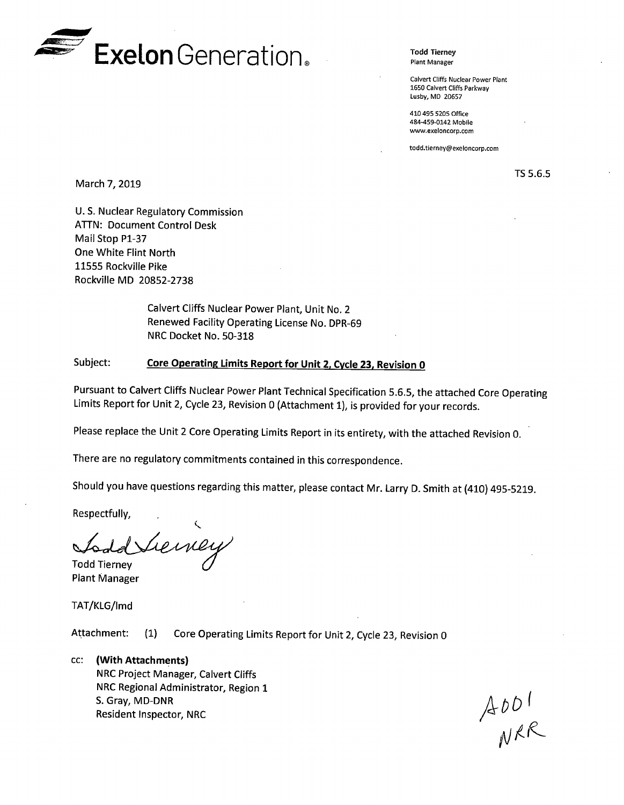

**Todd Tierney**  Plant Manager

Calvert Cliffs Nuclear Power Plant 1650 Calvert Cliffs Parkway Lusby, MD 20657

410 495 5205 Office 484-459-0142 Mobile www.exeloncorp.com

todd.tierney@exeloncorp.com

March 7, 2019

TS 5.6.5

U.S. Nuclear Regulatory Commission **ATTN: Document Control Desk** Mail Stop Pl-37 One White Flint North 11555 Rockville Pike Rockville MD 20852-2738

> Calvert Cliffs Nuclear Power Plant, Unit No. 2 Renewed Facility Operating License No. DPR-69 NRC Docket No. 50-318

## Subject: **Core Operating Limits Report for Unit 2, Cycle 23, Revision 0**

Pursuant to Calvert Cliffs Nuclear Power Plant Technical Specification 5.6.5, the attached Core Operating Limits Report for Unit 2, Cycle 23, Revision O (Attachment 1), is provided for your records.

Please replace the Unit 2 Core Operating Limits Report in its entirety, with the attached Revision 0.

There are no regulatory commitments contained in this correspondence.

Should you have questions regarding this matter, please contact Mr. Larry D. Smith at (410) 495-5219.

Respectfully,

Lieiney **Todd Tiernev** 

**Plant Manager** 

TAT/KLG/lmd

Attachment: (1) Core Operating Limits Report for Unit 2, Cycle 23, Revision 0



 $A$ 001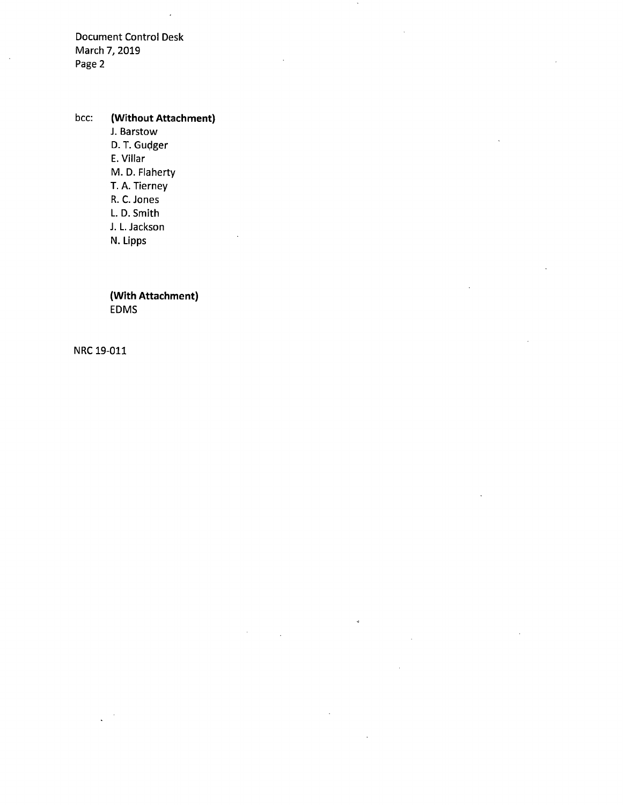Document Control Desk March 7, 2019 Page 2

ä,

bee: **(Without Attachment)**  J. Barstow D. T. Gudger E. Villar M. D. Flaherty T. A. Tierney R. C. Jones L. D. Smith J. L. Jackson N. Lipps

> **(With Attachment)**  EDMS

NRC 19-011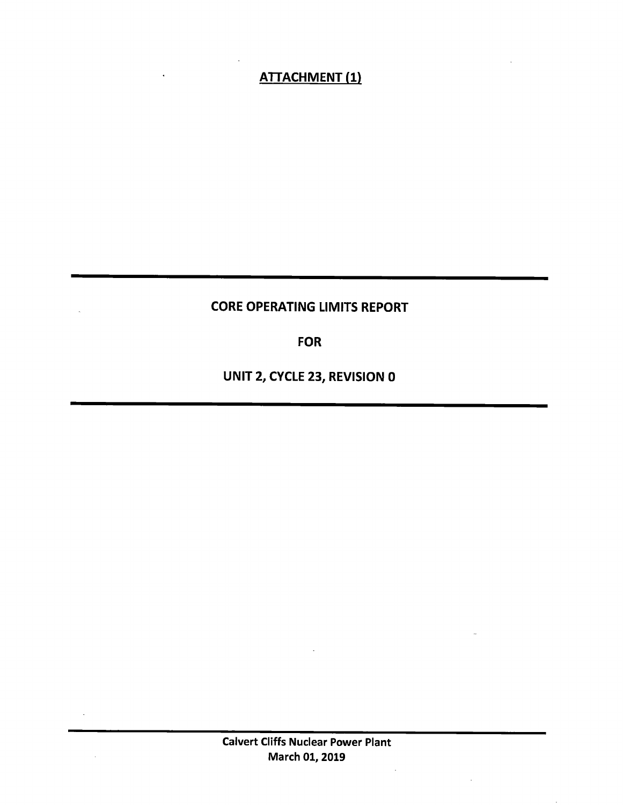# ATTACHMENT (1)

# CORE OPERATING LIMITS REPORT

FOR

UNIT 2, CYCLE 23, REVISION 0

 $\mathcal{L}$ 

 $\mathbb{R}$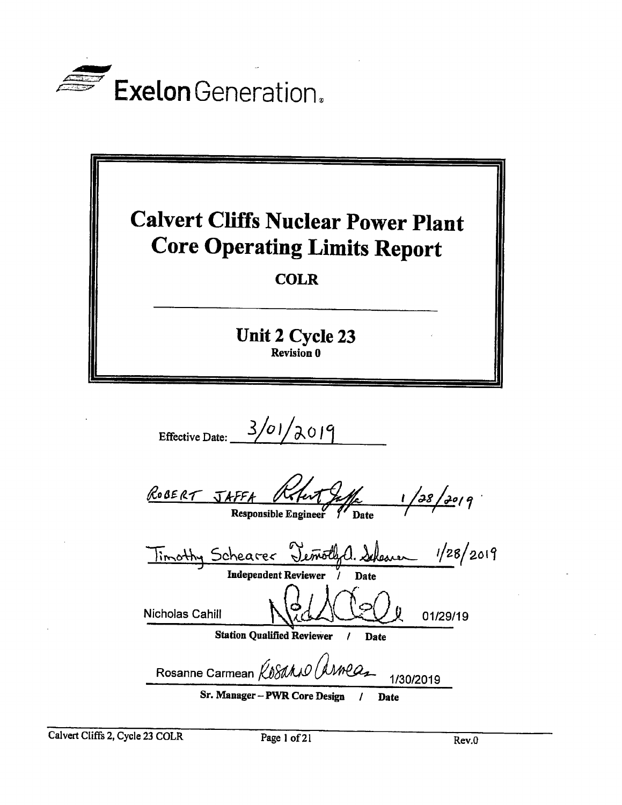



Effective Date:  $3/01/2019$ 

 $\sqrt{1}$ ROBERT JAFFA  $1/38/30/9$ Responsible Engineer

| Timothy Schearer Temothyl. Schemen |                                   |             | 1/28/2019 |
|------------------------------------|-----------------------------------|-------------|-----------|
|                                    | <b>Independent Reviewer</b>       | Date        |           |
| Nicholas Cahill                    |                                   |             | 01/29/19  |
|                                    | <b>Station Qualified Reviewer</b> | <b>Date</b> |           |
| Rosanne Carmean Kosano (AMPaz      |                                   |             | 1/30/2019 |
|                                    | Sr. Manager - PWD Core Degion     | <b>Data</b> |           |

Date

Calvert Cliffs 2, Cycle 23 COLR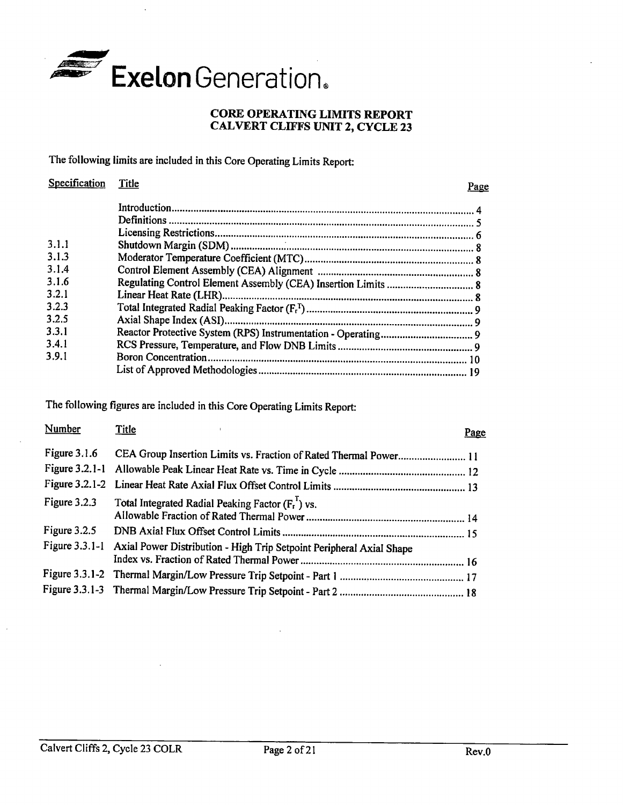

## **CORE OPERATING LIMITS REPORT CAL VERT CLIFFS UNIT 2, CYCLE 23**

The following limits are included in this Core Operating Limits Report:

| Specification | Title | Page |
|---------------|-------|------|
|               |       |      |
|               |       |      |
|               |       |      |
| 3.1.1         |       |      |
| 3.1.3         |       |      |
| 3.1.4         |       |      |
| 3.1.6         |       |      |
| 3.2.1         |       |      |
| 3.2.3         |       |      |
| 3.2.5         |       |      |
| 3.3.1         |       |      |
| 3.4.1         |       |      |
| 3.9.1         |       |      |
|               |       |      |

The following figures are included in this Core Operating Limits Report:

| Number         | <b>Title</b>                                                                        | Page |
|----------------|-------------------------------------------------------------------------------------|------|
|                | Figure 3.1.6 CEA Group Insertion Limits vs. Fraction of Rated Thermal Power 11      |      |
|                |                                                                                     |      |
|                |                                                                                     |      |
| Figure $3.2.3$ | Total Integrated Radial Peaking Factor $(F_t^1)$ vs.                                |      |
|                |                                                                                     |      |
|                | Figure 3.3.1-1 Axial Power Distribution - High Trip Setpoint Peripheral Axial Shape |      |
|                |                                                                                     |      |
|                |                                                                                     |      |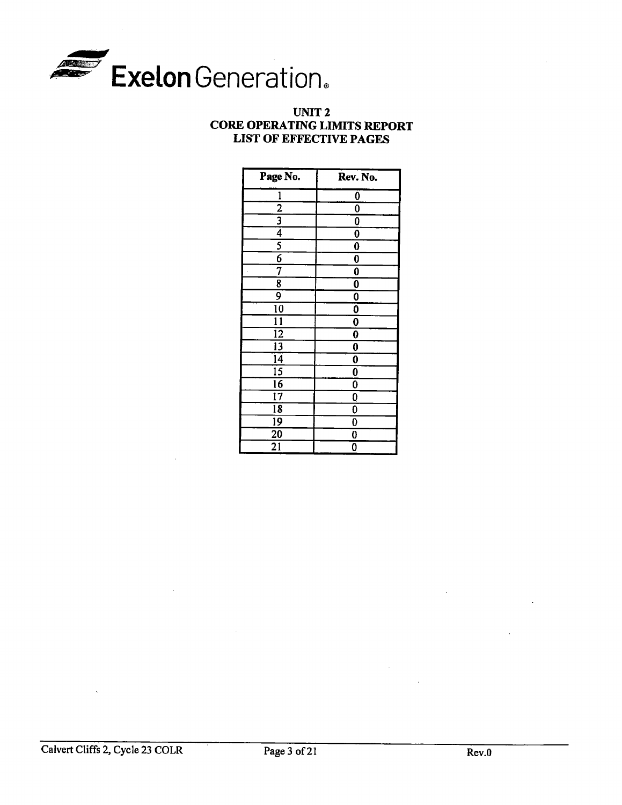

## **UNIT2 CORE OPERATING LIMITS REPORT LIST OF EFFECTIVE PAGES**

| Page No.        | Rev. No.                |
|-----------------|-------------------------|
| $\mathbf{1}$    | 0                       |
| $\frac{2}{3}$   | 0                       |
|                 | 0                       |
| $\overline{4}$  | 0                       |
|                 | 0                       |
| $\overline{6}$  | 0                       |
| 7               | 0                       |
| 8               | $\bf{0}$                |
| 9               | $\overline{\mathbf{0}}$ |
| $\overline{10}$ | $\overline{\mathbf{0}}$ |
| 11              | 0                       |
| $\overline{12}$ | 0                       |
| $\overline{13}$ | 0                       |
| $\overline{14}$ | 0                       |
| $\overline{15}$ | 0                       |
| 16              | Ő                       |
| $\overline{17}$ | 0                       |
| $\overline{18}$ | 0                       |
| 19              | 0                       |
| 20              | 0                       |
| 21              | 0                       |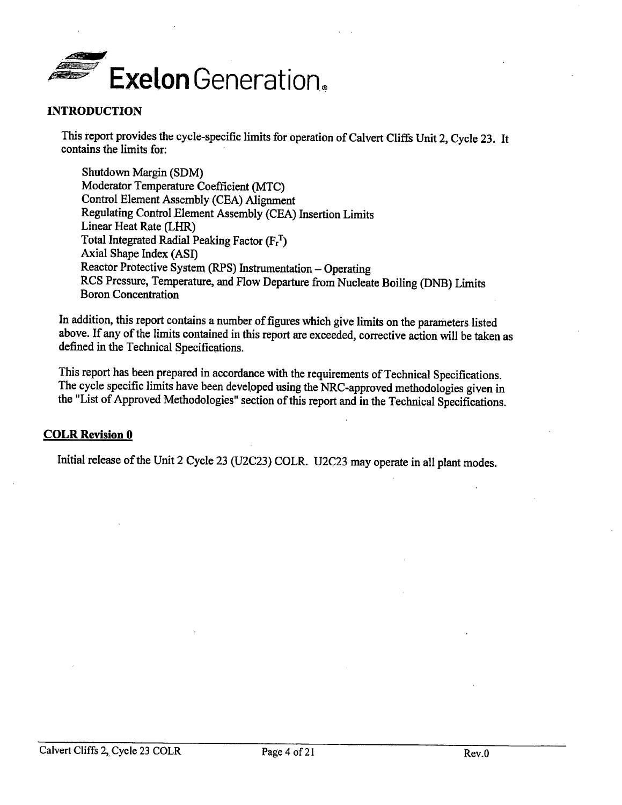

#### **INTRODUCTION**

This report provides the cycle-specific limits for operation of Calvert Cliffs Unit 2, Cycle 23. It contains the limits for:

Shutdown Margin (SDM) Moderator Temperature Coefficient (MTC) Control Element Assembly (CEA) Alignment Regulating Control Element Assembly (CEA) Insertion Limits Linear Heat Rate (LHR) Total Integrated Radial Peaking Factor  $(F_r^T)$ Axial Shape Index (ASI) Reactor Protective System (RPS) Instrumentation - Operating RCS Pressure, Temperature, and Flow Departure from Nucleate Boiling (DNB) Limits Boron Concentration

In addition, this report contains a number of figures which give limits on the parameters listed above. If any of the limits contained in this report are exceeded, corrective action will be taken as defined in the Technical Specifications.

This report has been prepared in accordance with the requirements of Technical Specifications. The cycle specific limits have been developed using the NRC-approved methodologies given in the "List of Approved Methodologies" section of this report and in the Technical Specifications.

## **COLR Revision 0**

Initial release of the Unit 2 Cycle <sup>23</sup>(U2C23) COLR. U2C23 may operate in all plant modes.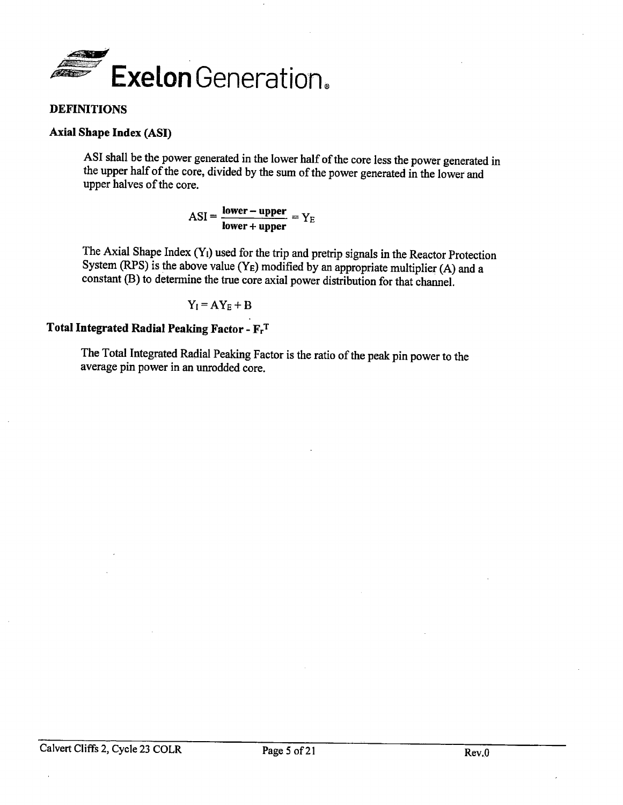

## **DEFINITIONS**

### **Axial Shape Index (ASI)**

ASI shall be the power generated in the lower half of the core less the power generated in the upper half of the core, divided by the sum of the power generated in the lower and upper halves of the core.

> $ASI = \frac{lower - upper}{upper} = Y_E$ **lower+ upper**

The Axial Shape Index (Y1) used for the trip and pretrip signals in the Reactor Protection System (RPS) is the above value (Y<sub>E</sub>) modified by an appropriate multiplier (A) and a constant (B) to determine the true core axial power distribution for that channel.

$$
Y_I = A Y_E + B
$$

# **Total Integrated Radial Peaking Factor- FrT**

The Total Integrated Radial Peaking Factor is the ratio of the peak pin power to the average pin power in an unrodded core.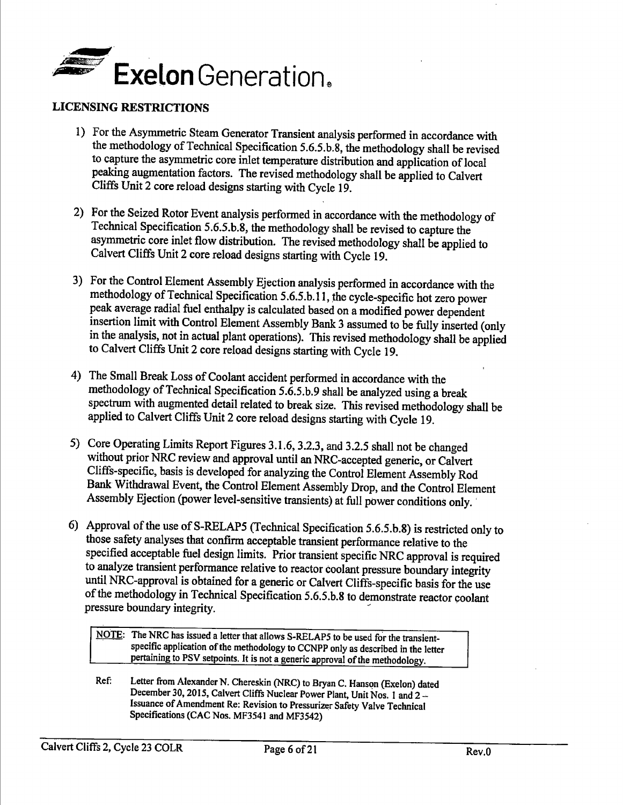

### **LICENSING RESTRICTIONS**

- 1) For the Asymmetric Steam Generator Transient analysis performed in accordance with the methodology of Technical Specification 5.6.5.b.8, the methodology shall be revised to capture the asymmetric core inlet temperature distribution and application of local peaking augmentation factors. The revised methodology shall be applied to Calvert Cliffs Unit 2 core reload designs starting with Cycle 19.
- 2) For the Seized Rotor Event analysis performed in accordance with the methodology of Technical Specification 5.6.5.b.8, the methodology shall be revised to capture the asymmetric core inlet flow distribution. The revised methodology shall be applied to Calvert Cliffs Unit 2 core reload designs starting with Cycle 19.
- 3) For the Control Element Assembly Ejection analysis performed in accordance with the methodology of Technical Specification 5.6.5.b.l l, the cycle-specific hot zero power peak average radial fuel enthalpy is calculated based on a modified power dependent insertion limit with Control Element Assembly Bank 3 assumed to be fully inserted ( only in the analysis, not in actual plant operations). This revised methodology shall be applied to Calvert Cliffs Unit 2 core reload designs starting with Cycle 19.
- 4) The Small Break Loss of Coolant accident performed in accordance with the methodology of Technical Specification 5.6.5.b.9 shall be analyzed using a break spectrum with augmented detail related to break size. This revised methodology shall be applied to Calvert Cliffs Unit 2 core reload designs starting with Cycle 19.
- 5) Core Operating Limits Report Figures 3.1.6, 3.2.3, and 3.2.5 shall not be changed without prior NRC review and approval until an NRC-accepted generic, or Calvert Cliffs-specific, basis is developed for analyzing the Control Element Assembly Rod Bank Withdrawal Event, the Control Element Assembly Drop, and the Control Element Assembly Ejection (power level-sensitive transients) at full power conditions only.
- 6) Approval of the use of S-RELAP5 (Technical Specification 5.6.5.b.8) is restricted only to those safety analyses that confirm acceptable transient performance relative to the specified acceptable fuel design limits. Prior transient specific NRC approval is required to analyze transient performance relative to reactor coolant pressure boundary integrity until NRC-approval is obtained for a generic or Calvert Cliffs-specific basis for the use of the methodology in Technical Specification 5.6.5.b.8 to demonstrate reactor coolant pressure boundary integrity.

NOTE: The NRC has issued a letter that allows S-RELAP5 to be used for the transientspecific application of the methodology to CCNPP only as described in the letter pertaining to PSV setpoints. It is not a generic approval of the methodology.

Ref: Letter from Alexander N. Chereskin (NRC) to Bryan C. Hanson (Exelon) dated December 30, 2015, Calvert Cliffs Nuclear Power Plant, Unit Nos. 1 and 2 -Issuance of Amendment Re: Revision to Pressurizer Safety Valve Technical Specifications (CAC Nos. MF3541 and MF3542)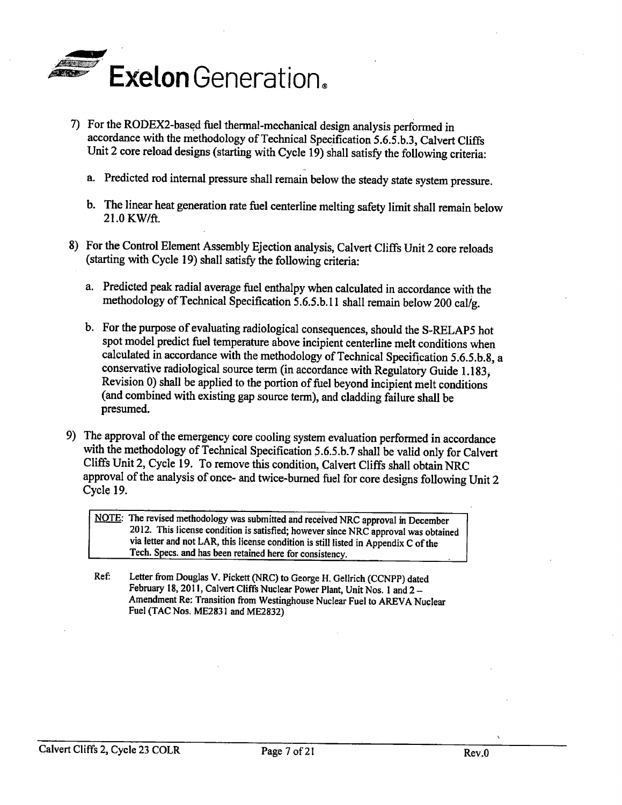

- 7) For the RODEX2-based fuel thermal-mechanical design analysis performed in accordance with the methodology of Technical Specification 5.6.5.b.3, Calvert Cliffs Unit 2 core reload designs (starting with Cycle 19) shall satisfy the following criteria:
	- a. Predicted rod internal pressure shall remain below the steady state system pressure.
	- b. The linear heat generation rate fuel centerline melting safety limit shall remain below 21.0 KW/ft.
- 8) For the Control Element Assembly Ejection analysis, Calvert Cliffs Unit 2 core reloads (starting with Cycle 19) shall satisfy the following criteria:
	- a. Predicted peak radial average fuel enthalpy when calculated in accordance with the methodology of Technical Specification 5.6.5.b.11 shall remain below 200 cal/g.
	- b. For the purpose of evaluating radiological consequences, should the S-RELAP5 hot spot model predict fuel temperature above incipient centerline melt conditions when calculated in accordance with the methodology of Technical Specification 5.6.5.b.8, a conservative radiological source term (in accordance with Regulatory Guide 1.183; Revision 0) shall be applied to the portion of fuel beyond incipient melt conditions (and combined with existing gap source term), and cladding failure shall be presumed.
- 9) The approval of the emergency core cooling system evaluation performed in accordance with the methodology of Technical Specification 5.6.5.b. 7 shall be valid only for Calvert Cliffs Unit 2, Cycle 19. To remove this condition, Calvert Cliffs shall obtain NRC approval of the analysis of once- and twice-burned fuel for core designs following Unit 2 Cycle 19.

NOTE: The revised methodology was submitted and received NRC approval in December 2012. This license condition is satisfied; however since NRC approval was obtained via letter and not LAR, this license condition is still listed in Appendix C of the Tech. Specs. and has been retained here for consistency.

Ref. Letter from Douglas V. Pickett (NRC) to George H. Gellrich (CCNPP) dated February 18, 2011, Calvert Cliffs Nuclear Power Plant, Unit Nos. 1 and 2 -Amendment Re: Transition from Westinghouse Nuclear Fuel to AREVA Nuclear Fuel (TAC Nos. ME2831 and ME2832)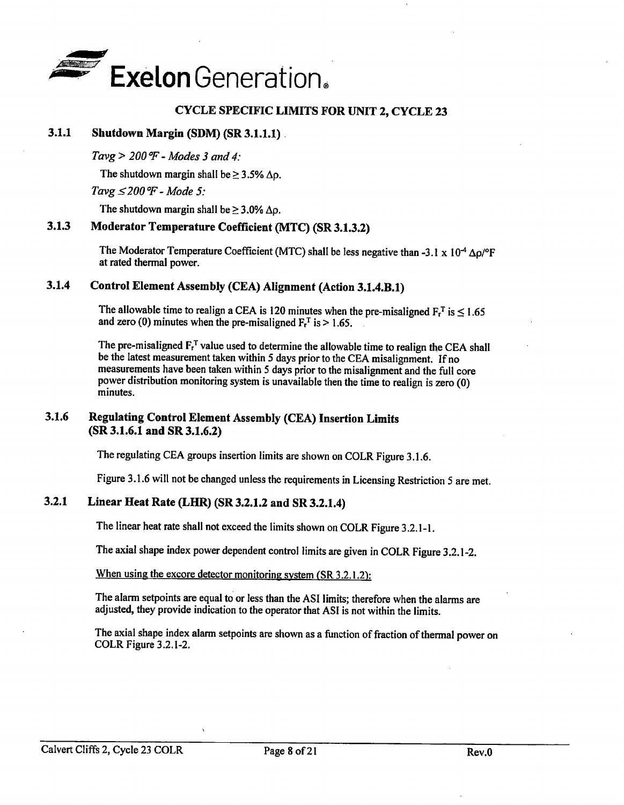

## **CYCLE SPECIFIC LIMITS FOR UNIT 2, CYCLE 23**

#### **3.1.1 Shutdown Margin (SDM) (SR 3.1.1.1)** .

*Tavg* > *200 °P* - *Modes 3 and 4:* 

The shutdown margin shall be  $> 3.5\%$   $\Delta\rho$ .

*Tavg ≤ 200 °F - Mode 5:* 

The shutdown margin shall be  $\geq 3.0\%$   $\Delta \rho$ .

## **3.1.3 Moderator Temperature Coefficient (MTC) (SR 3.1.3.2)**

The Moderator Temperature Coefficient (MTC) shall be less negative than -3.1 x 10<sup>-4</sup>  $\Delta\rho$ /°F at rated thermal power.

## **3.1.4 Control Element Assembly (CEA) Alignment (Action 3.1.4.B.1)**

The allowable time to realign a CEA is 120 minutes when the pre-misaligned  $F_r^T$  is < 1.65 and zero (0) minutes when the pre-misaligned  $F_r^T$  is > 1.65.

The pre-misaligned  $F_t^T$  value used to determine the allowable time to realign the CEA shall be the latest measurement taken within 5 days prior to the CEA misalignment. If no measurements have been taken within 5 days prior to the misalignment and the full core power distribution monitoring system is unavailable then the time to realign is zero (0) minutes.

## **3.1.6 Regulating Control Element Assembly (CEA) Insertion Limits (SR 3.1.6.1 and SR 3.1.6.2)**

The regulating CEA groups insertion limits are shown on COLR Figure 3.1.6.

Figure 3.1.6 will not be changed unless the requirements in Licensing Restriction 5 are met.

## **3.2.1 Linear Heat Rate (LHR) (SR 3.2.1.2 and SR 3.2.1.4)**

The linear heat rate shall not exceed the limits shown on COLR Figure 3.2.1-1.

The axial shape index power dependent control limits are given in COLR Figure 3.2.1-2.

When using the excore detector monitoring system (SR 3.2.1.2):

The alarm setpoints are equal to or less than the ASI limits; therefore when the alarms are adjusted, they provide indication to the operator that ASI is not within the limits.

The axial shape index alarm setpoints are shown as a function of fraction of thermal power on COLR Figure 3.2.1-2.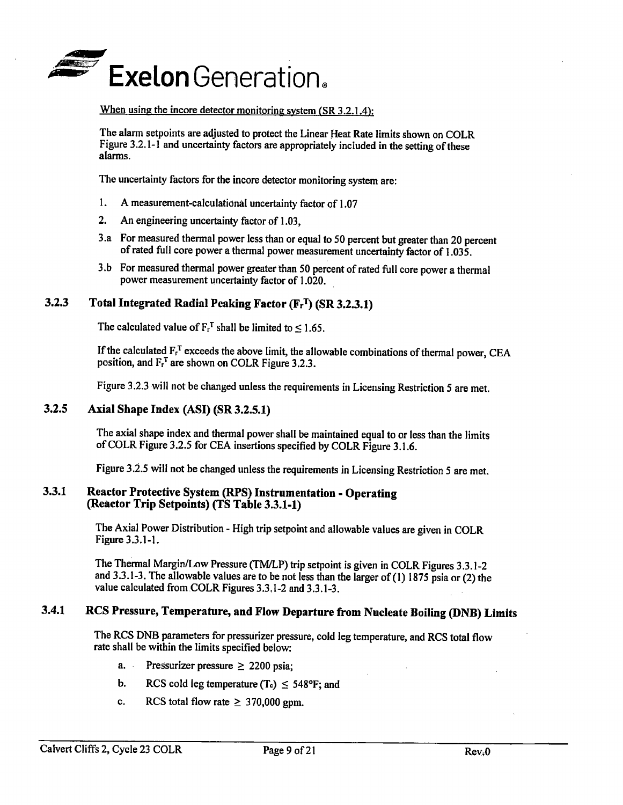

#### When using the incore detector monitoring system (SR 3.2.1.4):

The alann setpoints are adjusted to protect the Linear Heat Rate limits shown on COLR Figure 3.2.1-1 and uncertainty factors are appropriately included in the setting of these alarms.

The uncertainty factors for the incore detector monitoring system are:

- I. A measurement-calculational uncertainty factor of 1.07
- 2. An engineering uncertainty factor of 1.03,
- 3.a For measured thermal power less than or equal to 50 percent but greater than 20 percent of rated full core power a thermal power measurement uncertainty factor of 1.035.
- 3 .b For measured thermal power greater than 50 percent of rated full core power a thermal power measurement uncertainty factor of 1.020.

## **3.2.3** Total Integrated Radial Peaking Factor (F<sub>r</sub><sup>T</sup>) (SR 3.2.3.1)

The calculated value of  $F_r^T$  shall be limited to  $\leq 1.65$ .

If the calculated  $F_f^T$  exceeds the above limit, the allowable combinations of thermal power, CEA position, and  $F_t^T$  are shown on COLR Figure 3.2.3.

Figure 3.2.3 will not be changed unless the requirements in Licensing Restriction *5* are met.

## **3.2.5 Axial Shape Index (ASI) (SR 3.2.5.1)**

The axial shape index and thermal power shall be maintained equal to or less than the limits of COLR Figure 3.2.5 for CEA insertions specified by COLR Figure 3.1.6.

Figure 3.2.5 will not be changed unless the requirements in Licensing Restriction 5 are met.

#### 3.3.1 **Reactor Protective System (RPS) Instrumentation** - **Operating (Reactor Trip Setpoints) (TS Table 3.3.1-1)**

The Axial Power Distribution - High trip setpoint and allowable values are given in COLR Figure 3.3.1-1.

The Thermal Margin/Low Pressure (TM/LP) trip setpoint is given in COLR Figures 3.3.1-2 and 3.3.1-3. The allowable values are to be not less than the larger of (1) 1875 psia or (2) the value calculated from COLR Figures 3.3, 1-2 and 3.3.1-3.

## **3.4.1 RCS Pressure, Temperature, and Flow Departure from Nucleate Boiling (DNB) Limits**

The RCS DNB parameters for pressurizer pressure, cold leg temperature, and RCS total flow rate shall be within the limits specified below:

- a. Pressurizer pressure  $\ge$  2200 psia:
- b. RCS cold leg temperature (T<sub>c</sub>)  $\leq$  548°F; and
- c. RCS total flow rate  $\geq$  370,000 gpm.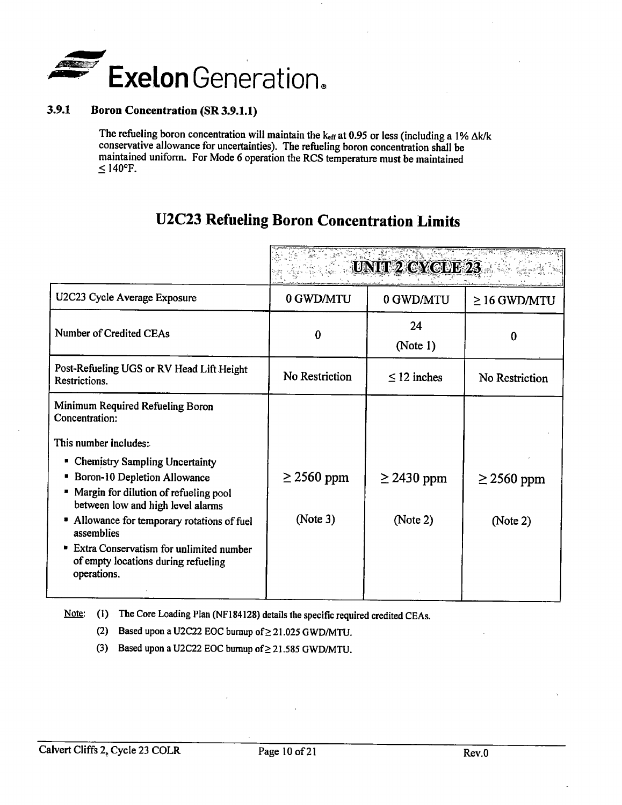

### **3.9.1 Boron Concentration (SR 3.9.1.1)**

The refueling boron concentration will maintain the  $k_{eff}$  at 0.95 or less (including a 1%  $\Delta k/k$ conservative allowance for uncertainties). The refueling boron concentration shall be maintained uniform. For Mode 6 operation the RCS temperature must be maintained  $\leq 140$ °F.

# **U2C23 Refueling Boron Concentration Limits**

|                                                                                                                                                              |                 | <b>UNIT 2 CYC FE23</b> |                   |
|--------------------------------------------------------------------------------------------------------------------------------------------------------------|-----------------|------------------------|-------------------|
| U2C23 Cycle Average Exposure                                                                                                                                 | 0 GWD/MTU       | 0 GWD/MTU              | $\geq$ 16 GWD/MTU |
| Number of Credited CEAs                                                                                                                                      | 0               | 24<br>(Note 1)         | 0                 |
| Post-Refueling UGS or RV Head Lift Height<br>Restrictions.                                                                                                   | No Restriction  | $\leq$ 12 inches       | No Restriction    |
| Minimum Required Refueling Boron<br>Concentration:<br>This number includes:                                                                                  |                 |                        |                   |
| <b>Chemistry Sampling Uncertainty</b><br>п<br>Boron-10 Depletion Allowance<br>Margin for dilution of refueling pool<br>between low and high level alarms     | $\geq$ 2560 ppm | $\geq$ 2430 ppm        | $\geq$ 2560 ppm   |
| • Allowance for temporary rotations of fuel<br>assemblies<br>" Extra Conservatism for unlimited number<br>of empty locations during refueling<br>operations. | (Note 3)        | (Note 2)               | (Note 2)          |

Note: (1) The Core Loading Plan (NF184128) details the specific required credited CEAs.

(2) Based upon a U2C22 EOC burnup of  $\geq$  21.025 GWD/MTU.

(3) Based upon a U2C22 EOC burnup of  $\geq$  21.585 GWD/MTU.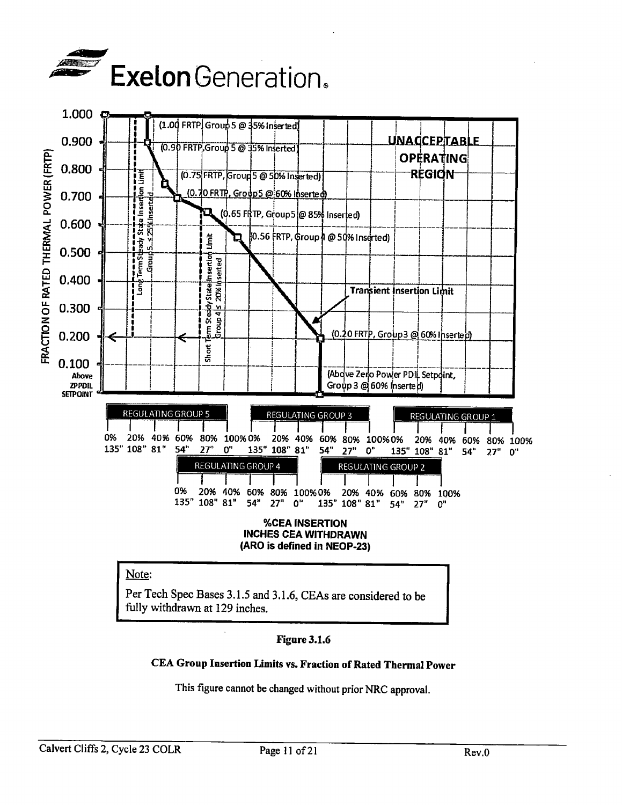



## Note:

Per Tech Spec Bases 3.1.5 and 3.1.6, CEAs are considered to be fully withdrawn at 129 inches.

## **Figure 3.1.6**

CEA Group Insertion Limits vs. Fraction of Rated Thermal Power

This figure cannot be changed without prior NRC approval.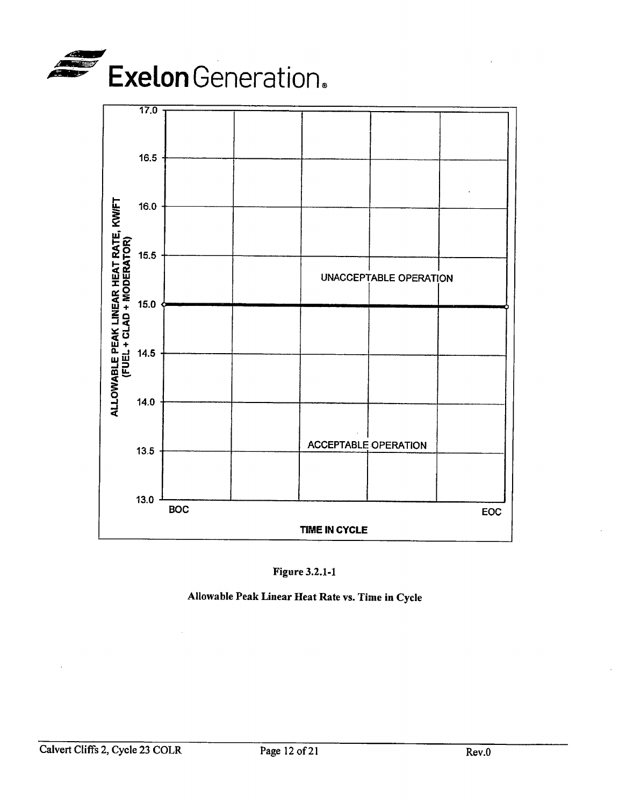





Allowable Peak Linear Heat Rate vs. Time in Cycle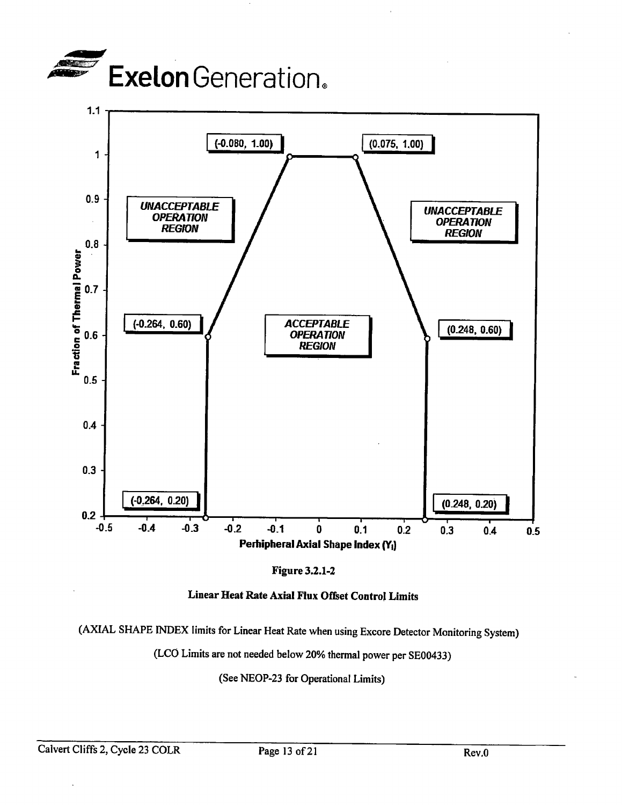



**Figure 3.2.1-2** 



(AXIAL SHAPE INDEX limits for Linear Heat Rate when using Excore Detector Monitoring System)

(LCO Limits are not needed below 20% thermal power per SE00433)

(See NEOP-23 for Operational Limits)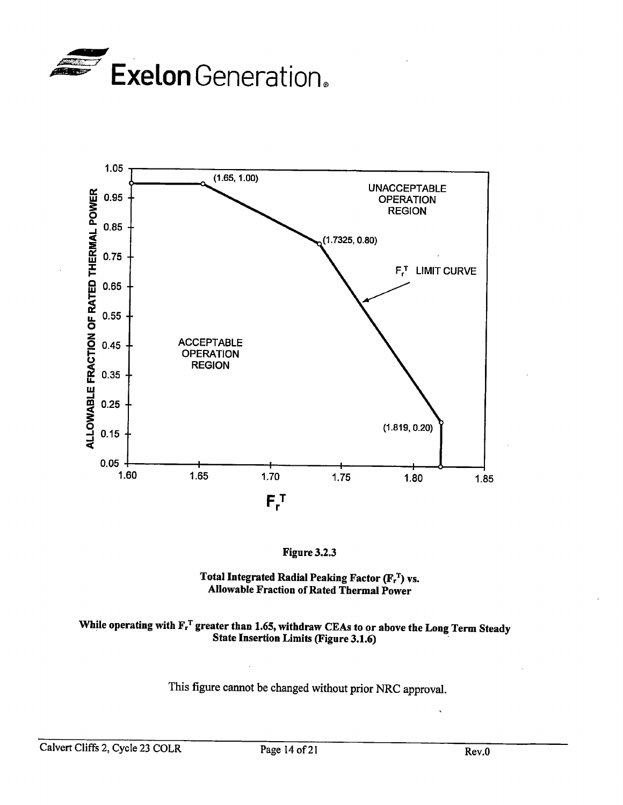





#### **Total Integrated Radial Peaking Factor (F?) vs. Allowable Fraction of Rated Thermal Power**

# While operating with  $\mathbf{F_r}^T$  greater than 1.65, withdraw CEAs to or above the Long Term Steady **State Insertion Limits (Figure 3.1.6)**

This figure cannot be changed without prior NRC approval.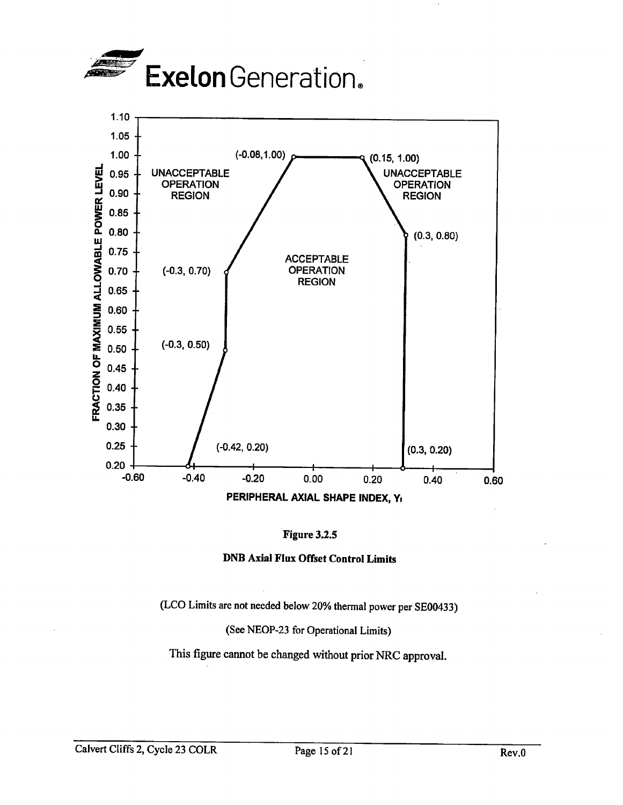





(LCO Limits are not needed below 20% thermal power per SE00433)

(See NEOP-23 for Operational Limits)

This figure cannot be changed without prior NRC approval.

Calvert Cliffs 2, Cycle 23 COLR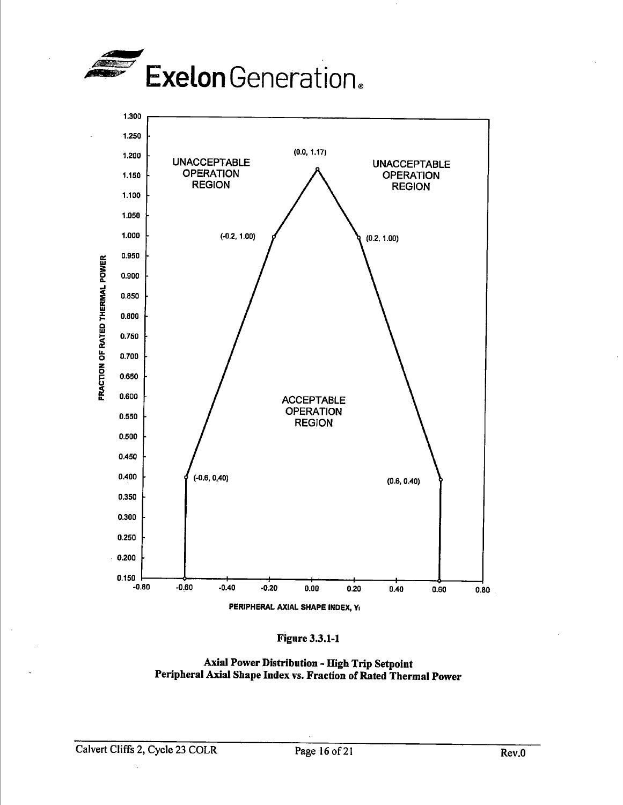





**Axial Power Distribution** - **High Trip Setpoint Peripheral Axial Shape Index vs. Fraction of Rated Thermal Power**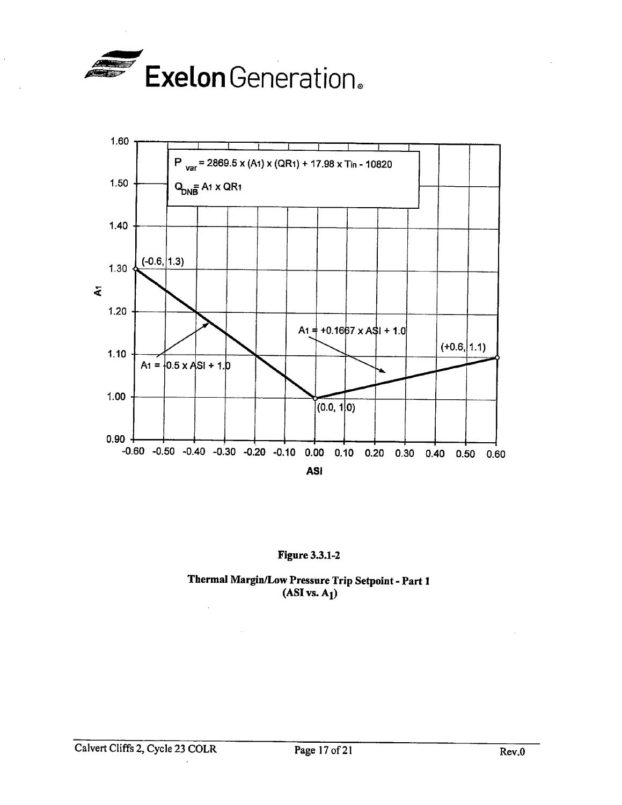

 $\ddot{\phantom{a}}$ 



## Figure 3.3.1-2

Thermal Margin/Low Pressure Trip Setpoint - Part <sup>1</sup>  $(ASI vs. A<sub>1</sub>)$ 

 $\hat{\mathcal{L}}$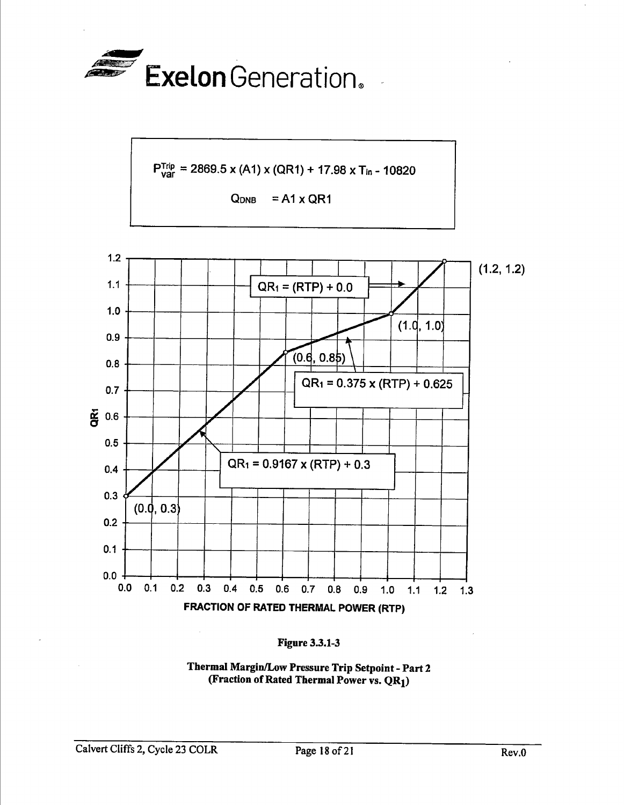







**Thermal Margin/Low Pressure Trip Setpoint** - **Part 2 (Fraction of Rated Thermal Power vs. QR1)**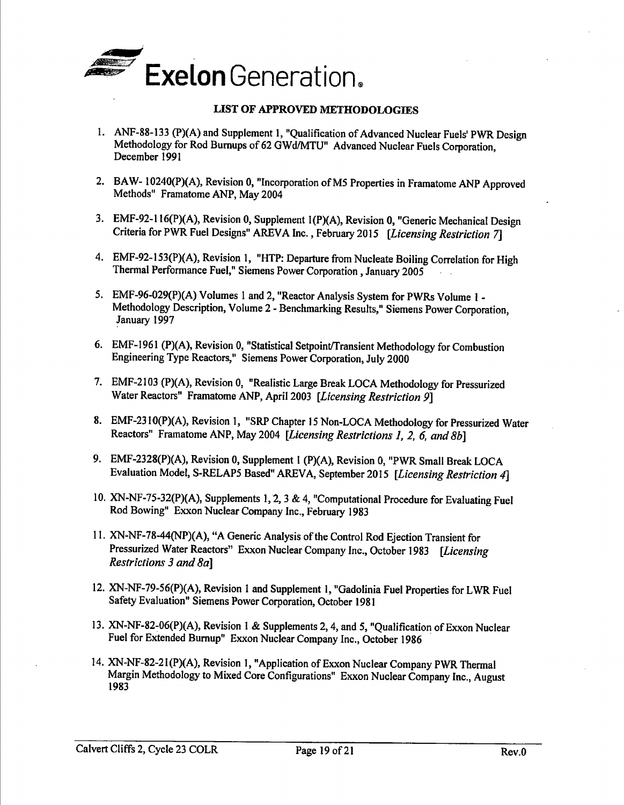

#### **LIST OF APPROVED METHODOLOGIES**

- 1. ANF-88-133 (P)(A) and Supplement 1, "Qualification of Advanced Nuclear Fuels' PWR Design Methodology for Rod Burnups of 62 GWd/MTU" Advanced Nuclear Fuels Corporation, December 1991
- 2. BAW- I0240(P)(A), Revision 0, "Incorporation of MS Properties in Framatome ANP Approved Methods" Framatome ANP, May 2004
- 3. EMF-92-l 16(P)(A), Revision 0, Supplement l(P)(A), Revision 0, "Generic Mechanical Design Criteria for PWR Fuel Designs" AREVA Inc., February 2015 *[Licensing Restriction* 7]
- 4. EMF-92-153(P)(A), Revision l, "HTP: Departure from Nucleate Boiling Correlation for High Thermal Performance Fuel," Siemens Power Corporation, January 2005
- *5.* EMF-96-029(P)(A) Volumes I and 2, "Reactor Analysis System for PWRs Volume 1 Methodology Description, Volume 2 - Benchmarking Results," Siemens Power Corporation, January 1997
- 6. EMF-1961 (P)(A), Revision 0, "Statistical Setpoint/Transient Methodology for Combustion Engineering Type Reactors," Siemens Power Corporation, July 2000
- 7. EMF-2103 (P)(A), Revision 0, "Realistic Large Break LOCA Methodology for Pressurized Water Reactors" Framatome ANP, April 2003 *[Licensing Restriction 9]*
- 8. EMF-2310(P)(A), Revision 1, "SRP Chapter 15 Non-LOCA Methodology for Pressurized Water Reactors" Framatome ANP, May 2004 *[Licensing Restrictions 1, 2, 6, and 8b]*
- 9. EMF-2328(P)(A), Revision 0, Supplement I (P)(A), Revision 0, "PWR Small Break LOCA Evaluation Model, S-RELAP5 Based" AREVA, September 2015 [Licensing Restriction 4]
- 10. XN-NF-75-32(P)(A), Supplements 1, 2, 3 & 4, "Computational Procedure for Evaluating Fuel Rod Bowing" Exxon Nuclear Company Inc., February <sup>1983</sup>
- 11. XN-NF-78-44(NP)(A), "A Generic Analysis of the Control Rod Ejection Transient for Pressurized Water Reactors" Exxon Nuclear Company Inc., October 1983 *[Licensing Restrictions 3 and 8a]*
- 12. XN-NF-79-56(P){A), Revision I and Supplement 1, "Gadolinia Fuel Properties for LWR Fuel Safety Evaluation" Siemens Power Corporation, October <sup>1981</sup>
- 13. XN-NF-82~06(P)(A), Revision 1 & Supplements 2, 4, and *5,* "Qualification of Exxon Nuclear Fuel for Extended Burnup" Exxon Nuclear Company Inc., October 1986
- 14. XN-NF-82-21 (P)(A), Revision 1, "Application of Exxon Nuclear Company PWR Thermal Margin Methodology to Mixed Core Configurations" Exxon Nuclear Company Inc., August 1983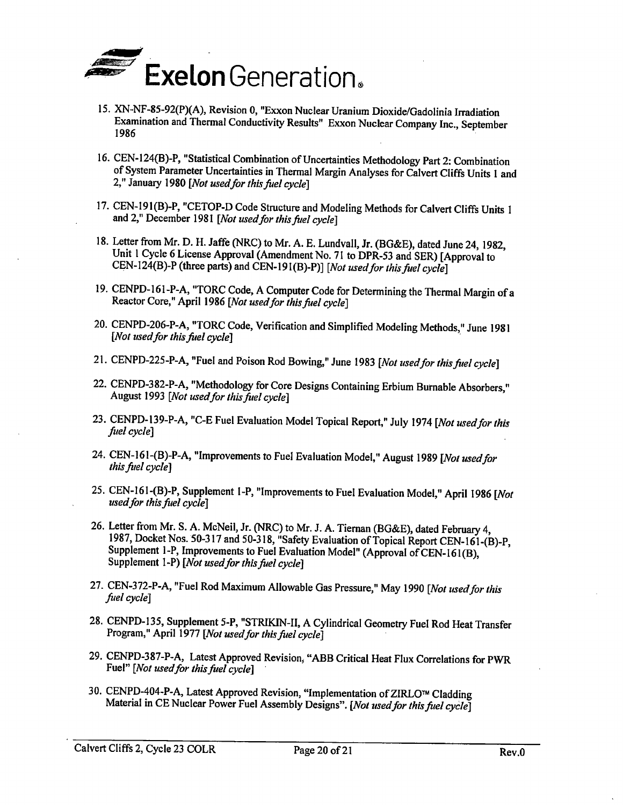

- 15. XN-NF-85-92(P)(A), Revision 0, "Exxon Nuclear Uranium Dioxide/Gadolinia Irradiation Examination and Thermal Conductivity Results" Exxon Nuclear Company Inc., September 1986
- 16. CEN-124(B)-P, "Statistical Combination of Uncertainties Methodology Part 2: Combination of System Parameter Uncertainties in Thermal Margin Analyses for Calvert Cliffs Units 1 and 2," January 1980 *[Not usedfor this fuel cycle]*
- 17. CEN-191(B)-P, "CETOP-D Code Structure and Modeling Methods for Calvert Cliffs Units 1 and 2," December 1981 [ *Not used for this fuel cycle]*
- 18. Letter from Mr. D. H. Jaffe (NRC) to Mr. A. E. Lundvall, Jr. (BG&E), dated June 24, 1982, Unit 1 Cycle 6 License Approval (Amendment No. 71 to DPR-53 and SER) [Approval to CEN-124(B)-P (three parts) and CEN-19l(B)-P)] *[Not used for this fuel cycle]*
- 19. CENPD-161-P-A, "TORC Code, A Computer Code for Detennining the Thermal Margin of <sup>a</sup> Reactor Core," April 1986 *[Not used for this fuel cycle]*
- 20. CENPD-206-P-A, "TORC Code, Verification and Simplified Modeling Methods," June <sup>1981</sup> *[Not used for this fuel cycle]* ·
- 21. CENPD-225-P-A, "Fuel and Poison Rod Bowing," June 1983 *[Not used/or this fuel cycle]*
- 22. CENPD-382-P-A, "Methodology for Core Designs Containing Erbium Burnable Absorbers," August 1993 *[Not usedfor thisfuel cycle]*
- 23. CENPD-139-P-A, "C-E Fuel Evaluation Model Topical Report," July 1974 *[Not used/or this fi1el cycle]*
- 24. CEN-161-(B)-P-A, "Improvements to Fuel Evaluation Model," August 1989 *[Not used/or this fuel cycle]*
- 25. CEN-161-(B)-P, Supplement 1-P, "Improvements to Fuel Evaluation Model," April 1986 *[Not used/or this fuel cycle]*
- 26. Letter from Mr. S. A. McNeil, Jr. (NRC) to Mr. J. A. Tieman (BG&E), dated February 4, 1987, Docket Nos. 50-317 and 50-318, "Safety Evaluation of Topical Report CEN-161-(B)-P, Supplement 1-P, Improvements to Fuel Evaluation Model" (Approval of CEN-161(B), Supplement 1-P) *[Not used for this fuel cycle]*
- 27. CEN-372-P-A, "Fuel Rod Maximum Allowable Gas Pressure," May 1990 *[Not used for this fi1el cycle* 1
- 28. CENPD-135, Supplement 5-P, "STRIKIN-II, A Cylindrical Geometry Fuel Rod Heat Transfer Program," April 1977 *[Not used for this fuel cycle]*
- 29. CENPD-387-P-A, Latest Approved Revision; "ABB Critical Heat Flux Correlations for PWR Fuel" *[Not used for this fuel cycle]*
- 30. CENPD-404-P-A, Latest Approved Revision, "Implementation of ZIRLO™ Cladding Material in CE Nuclear Power Fuel Assembly Designs". *[Not used for this fuel cycle]*